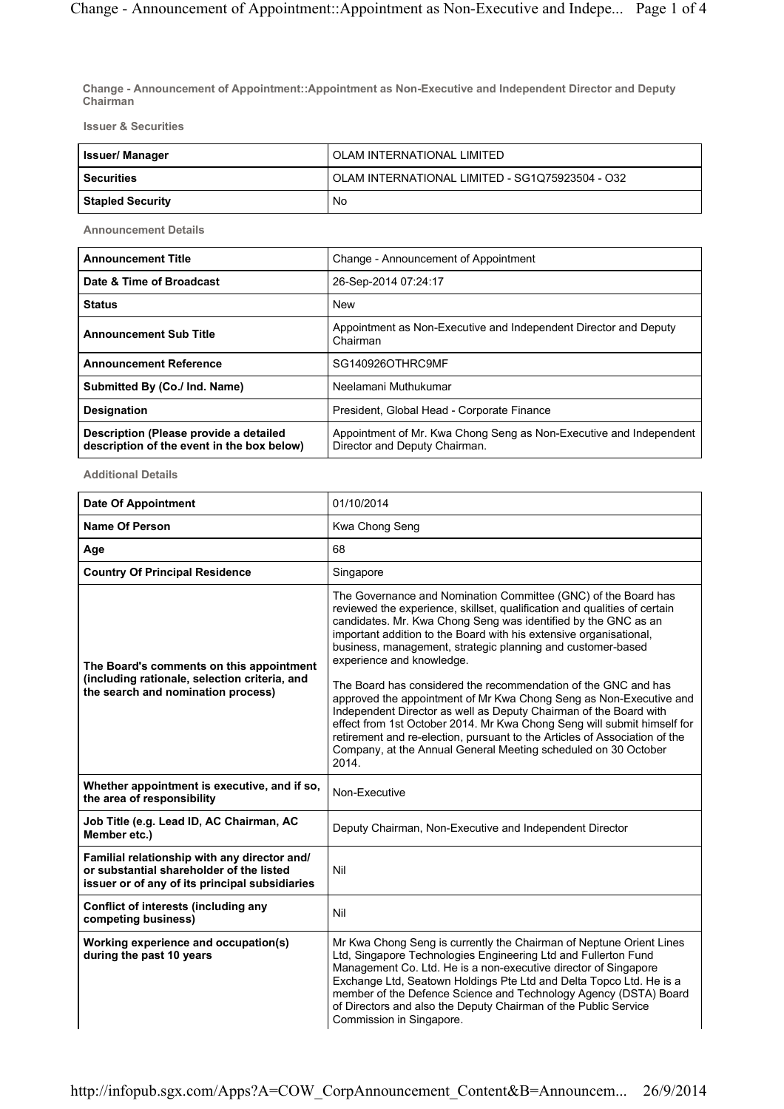Change - Announcement of Appointment::Appointment as Non-Executive and Independent Director and Deputy Chairman

Issuer & Securities

| l Issuer/ Manager | OLAM INTERNATIONAL LIMITED                      |  |  |
|-------------------|-------------------------------------------------|--|--|
| l Securities      | OLAM INTERNATIONAL LIMITED - SG1Q75923504 - O32 |  |  |
| Stapled Security  | No                                              |  |  |

Announcement Details

| <b>Announcement Title</b>                                                            | Change - Announcement of Appointment                                                                |  |  |  |
|--------------------------------------------------------------------------------------|-----------------------------------------------------------------------------------------------------|--|--|--|
| Date & Time of Broadcast                                                             | 26-Sep-2014 07:24:17                                                                                |  |  |  |
| <b>Status</b>                                                                        | <b>New</b>                                                                                          |  |  |  |
| <b>Announcement Sub Title</b>                                                        | Appointment as Non-Executive and Independent Director and Deputy<br>Chairman                        |  |  |  |
| <b>Announcement Reference</b>                                                        | SG140926OTHRC9MF                                                                                    |  |  |  |
| Submitted By (Co./ Ind. Name)                                                        | Neelamani Muthukumar                                                                                |  |  |  |
| <b>Designation</b>                                                                   | President, Global Head - Corporate Finance                                                          |  |  |  |
| Description (Please provide a detailed<br>description of the event in the box below) | Appointment of Mr. Kwa Chong Seng as Non-Executive and Independent<br>Director and Deputy Chairman. |  |  |  |

Additional Details

| <b>Date Of Appointment</b>                                                                                                                 | 01/10/2014                                                                                                                                                                                                                                                                                                                                                                                                                                         |  |  |  |
|--------------------------------------------------------------------------------------------------------------------------------------------|----------------------------------------------------------------------------------------------------------------------------------------------------------------------------------------------------------------------------------------------------------------------------------------------------------------------------------------------------------------------------------------------------------------------------------------------------|--|--|--|
| <b>Name Of Person</b>                                                                                                                      | Kwa Chong Seng                                                                                                                                                                                                                                                                                                                                                                                                                                     |  |  |  |
| Age                                                                                                                                        | 68                                                                                                                                                                                                                                                                                                                                                                                                                                                 |  |  |  |
| <b>Country Of Principal Residence</b>                                                                                                      | Singapore                                                                                                                                                                                                                                                                                                                                                                                                                                          |  |  |  |
| The Board's comments on this appointment<br>(including rationale, selection criteria, and                                                  | The Governance and Nomination Committee (GNC) of the Board has<br>reviewed the experience, skillset, qualification and qualities of certain<br>candidates. Mr. Kwa Chong Seng was identified by the GNC as an<br>important addition to the Board with his extensive organisational,<br>business, management, strategic planning and customer-based<br>experience and knowledge.                                                                    |  |  |  |
| the search and nomination process)                                                                                                         | The Board has considered the recommendation of the GNC and has<br>approved the appointment of Mr Kwa Chong Seng as Non-Executive and<br>Independent Director as well as Deputy Chairman of the Board with<br>effect from 1st October 2014. Mr Kwa Chong Seng will submit himself for<br>retirement and re-election, pursuant to the Articles of Association of the<br>Company, at the Annual General Meeting scheduled on 30 October<br>2014.      |  |  |  |
| Whether appointment is executive, and if so,<br>the area of responsibility                                                                 | Non-Executive                                                                                                                                                                                                                                                                                                                                                                                                                                      |  |  |  |
| Job Title (e.g. Lead ID, AC Chairman, AC<br>Member etc.)                                                                                   | Deputy Chairman, Non-Executive and Independent Director                                                                                                                                                                                                                                                                                                                                                                                            |  |  |  |
| Familial relationship with any director and/<br>or substantial shareholder of the listed<br>issuer or of any of its principal subsidiaries | Nil                                                                                                                                                                                                                                                                                                                                                                                                                                                |  |  |  |
| <b>Conflict of interests (including any</b><br>competing business)                                                                         | Nil                                                                                                                                                                                                                                                                                                                                                                                                                                                |  |  |  |
| Working experience and occupation(s)<br>during the past 10 years                                                                           | Mr Kwa Chong Seng is currently the Chairman of Neptune Orient Lines<br>Ltd, Singapore Technologies Engineering Ltd and Fullerton Fund<br>Management Co. Ltd. He is a non-executive director of Singapore<br>Exchange Ltd, Seatown Holdings Pte Ltd and Delta Topco Ltd. He is a<br>member of the Defence Science and Technology Agency (DSTA) Board<br>of Directors and also the Deputy Chairman of the Public Service<br>Commission in Singapore. |  |  |  |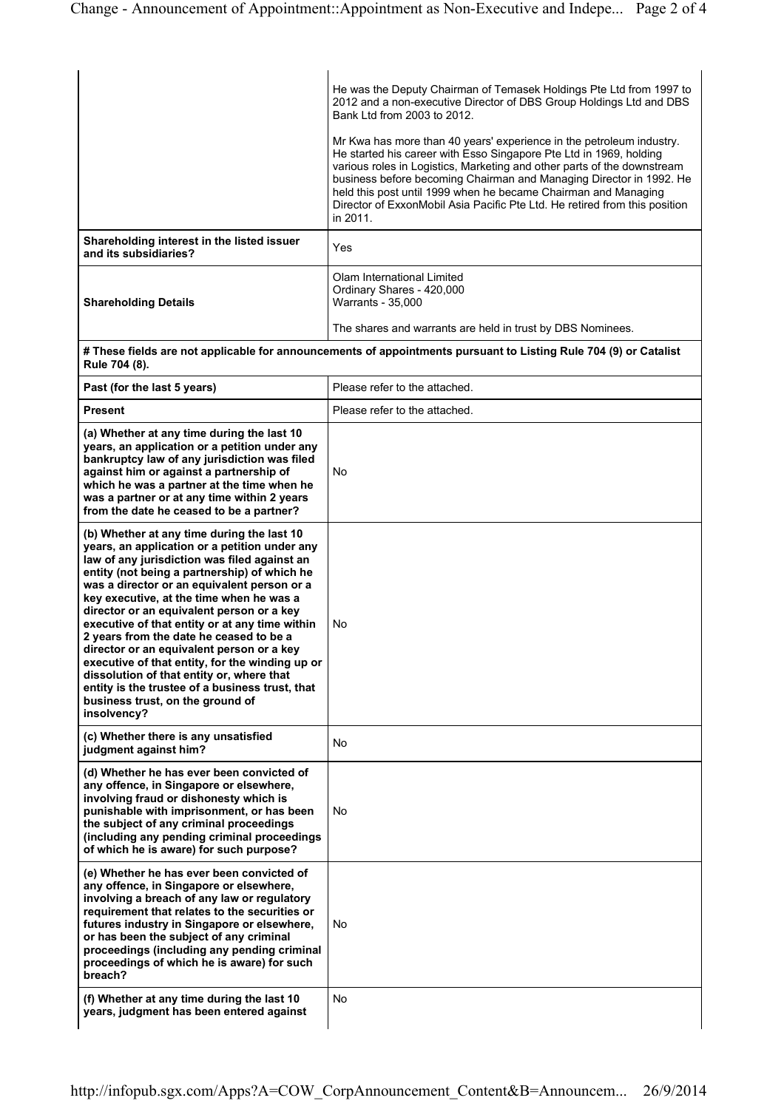|                                                                     | He was the Deputy Chairman of Temasek Holdings Pte Ltd from 1997 to<br>2012 and a non-executive Director of DBS Group Holdings Ltd and DBS<br>Bank I td from 2003 to 2012<br>Mr Kwa has more than 40 years' experience in the petroleum industry.<br>He started his career with Esso Singapore Pte Ltd in 1969, holding<br>various roles in Logistics, Marketing and other parts of the downstream<br>business before becoming Chairman and Managing Director in 1992. He<br>held this post until 1999 when he became Chairman and Managing<br>Director of ExxonMobil Asia Pacific Pte Ltd. He retired from this position<br>in 2011. |
|---------------------------------------------------------------------|---------------------------------------------------------------------------------------------------------------------------------------------------------------------------------------------------------------------------------------------------------------------------------------------------------------------------------------------------------------------------------------------------------------------------------------------------------------------------------------------------------------------------------------------------------------------------------------------------------------------------------------|
| Shareholding interest in the listed issuer<br>and its subsidiaries? | Yes                                                                                                                                                                                                                                                                                                                                                                                                                                                                                                                                                                                                                                   |
| <b>Shareholding Details</b>                                         | Olam International Limited<br>Ordinary Shares - 420,000<br>Warrants - 35,000<br>The shares and warrants are held in trust by DBS Nominees.                                                                                                                                                                                                                                                                                                                                                                                                                                                                                            |

# These fields are not applicable for announcements of appointments pursuant to Listing Rule 704 (9) or Catalist Rule 704 (8).

| Past (for the last 5 years)                                                                                                                                                                                                                                                                                                                                                                                                                                                                                                                                                                                                                                                         | Please refer to the attached. |  |  |
|-------------------------------------------------------------------------------------------------------------------------------------------------------------------------------------------------------------------------------------------------------------------------------------------------------------------------------------------------------------------------------------------------------------------------------------------------------------------------------------------------------------------------------------------------------------------------------------------------------------------------------------------------------------------------------------|-------------------------------|--|--|
| <b>Present</b>                                                                                                                                                                                                                                                                                                                                                                                                                                                                                                                                                                                                                                                                      | Please refer to the attached. |  |  |
| (a) Whether at any time during the last 10<br>years, an application or a petition under any<br>bankruptcy law of any jurisdiction was filed<br>against him or against a partnership of<br>which he was a partner at the time when he<br>was a partner or at any time within 2 years<br>from the date he ceased to be a partner?                                                                                                                                                                                                                                                                                                                                                     | <b>No</b>                     |  |  |
| (b) Whether at any time during the last 10<br>years, an application or a petition under any<br>law of any jurisdiction was filed against an<br>entity (not being a partnership) of which he<br>was a director or an equivalent person or a<br>key executive, at the time when he was a<br>director or an equivalent person or a key<br>executive of that entity or at any time within<br>2 years from the date he ceased to be a<br>director or an equivalent person or a key<br>executive of that entity, for the winding up or<br>dissolution of that entity or, where that<br>entity is the trustee of a business trust, that<br>business trust, on the ground of<br>insolvency? | No                            |  |  |
| (c) Whether there is any unsatisfied<br>judgment against him?                                                                                                                                                                                                                                                                                                                                                                                                                                                                                                                                                                                                                       | No                            |  |  |
| (d) Whether he has ever been convicted of<br>any offence, in Singapore or elsewhere,<br>involving fraud or dishonesty which is<br>punishable with imprisonment, or has been<br>the subject of any criminal proceedings<br>(including any pending criminal proceedings<br>of which he is aware) for such purpose?                                                                                                                                                                                                                                                                                                                                                                    | No                            |  |  |
| (e) Whether he has ever been convicted of<br>any offence, in Singapore or elsewhere,<br>involving a breach of any law or regulatory<br>requirement that relates to the securities or<br>futures industry in Singapore or elsewhere,<br>or has been the subject of any criminal<br>proceedings (including any pending criminal<br>proceedings of which he is aware) for such<br>breach?                                                                                                                                                                                                                                                                                              | No                            |  |  |
| (f) Whether at any time during the last 10<br>years, judgment has been entered against                                                                                                                                                                                                                                                                                                                                                                                                                                                                                                                                                                                              | <b>No</b>                     |  |  |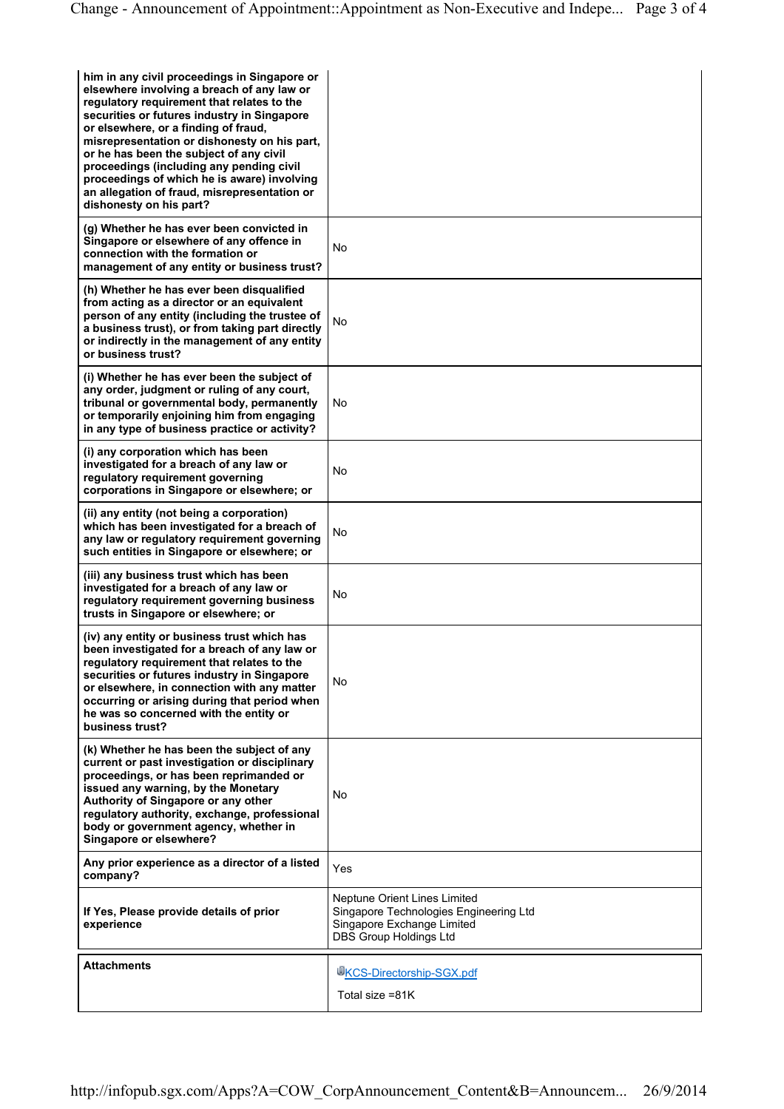| him in any civil proceedings in Singapore or<br>elsewhere involving a breach of any law or<br>regulatory requirement that relates to the<br>securities or futures industry in Singapore<br>or elsewhere, or a finding of fraud,<br>misrepresentation or dishonesty on his part,<br>or he has been the subject of any civil<br>proceedings (including any pending civil<br>proceedings of which he is aware) involving<br>an allegation of fraud, misrepresentation or<br>dishonesty on his part? |                                                                                                                                       |
|--------------------------------------------------------------------------------------------------------------------------------------------------------------------------------------------------------------------------------------------------------------------------------------------------------------------------------------------------------------------------------------------------------------------------------------------------------------------------------------------------|---------------------------------------------------------------------------------------------------------------------------------------|
| (g) Whether he has ever been convicted in<br>Singapore or elsewhere of any offence in<br>connection with the formation or<br>management of any entity or business trust?                                                                                                                                                                                                                                                                                                                         | No                                                                                                                                    |
| (h) Whether he has ever been disqualified<br>from acting as a director or an equivalent<br>person of any entity (including the trustee of<br>a business trust), or from taking part directly<br>or indirectly in the management of any entity<br>or business trust?                                                                                                                                                                                                                              | No                                                                                                                                    |
| (i) Whether he has ever been the subject of<br>any order, judgment or ruling of any court,<br>tribunal or governmental body, permanently<br>or temporarily enjoining him from engaging<br>in any type of business practice or activity?                                                                                                                                                                                                                                                          | No                                                                                                                                    |
| (i) any corporation which has been<br>investigated for a breach of any law or<br>regulatory requirement governing<br>corporations in Singapore or elsewhere; or                                                                                                                                                                                                                                                                                                                                  | No                                                                                                                                    |
| (ii) any entity (not being a corporation)<br>which has been investigated for a breach of<br>any law or regulatory requirement governing<br>such entities in Singapore or elsewhere; or                                                                                                                                                                                                                                                                                                           | No                                                                                                                                    |
| (iii) any business trust which has been<br>investigated for a breach of any law or<br>regulatory requirement governing business<br>trusts in Singapore or elsewhere; or                                                                                                                                                                                                                                                                                                                          | No                                                                                                                                    |
| (iv) any entity or business trust which has<br>been investigated for a breach of any law or<br>regulatory requirement that relates to the<br>securities or futures industry in Singapore<br>or elsewhere, in connection with any matter<br>occurring or arising during that period when<br>he was so concerned with the entity or<br>business trust?                                                                                                                                             | No                                                                                                                                    |
| (k) Whether he has been the subject of any<br>current or past investigation or disciplinary<br>proceedings, or has been reprimanded or<br>issued any warning, by the Monetary<br>Authority of Singapore or any other<br>regulatory authority, exchange, professional<br>body or government agency, whether in<br>Singapore or elsewhere?                                                                                                                                                         | No                                                                                                                                    |
| Any prior experience as a director of a listed<br>company?                                                                                                                                                                                                                                                                                                                                                                                                                                       | Yes                                                                                                                                   |
| If Yes, Please provide details of prior<br>experience                                                                                                                                                                                                                                                                                                                                                                                                                                            | Neptune Orient Lines Limited<br>Singapore Technologies Engineering Ltd<br>Singapore Exchange Limited<br><b>DBS Group Holdings Ltd</b> |
| <b>Attachments</b>                                                                                                                                                                                                                                                                                                                                                                                                                                                                               | <b>WKCS-Directorship-SGX.pdf</b>                                                                                                      |
|                                                                                                                                                                                                                                                                                                                                                                                                                                                                                                  | Total size =81K                                                                                                                       |